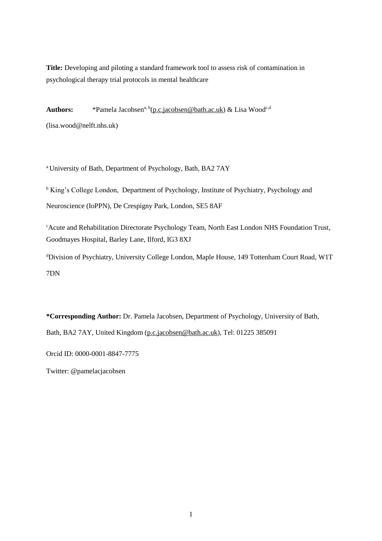**Title:** Developing and piloting a standard framework tool to assess risk of contamination in psychological therapy trial protocols in mental healthcare

Authors: \*Pamela Jacobsen<sup>a, b</sup>[\(p.c.jacobsen@bath.ac.uk\)](mailto:p.c.jacobsen@bath.ac.uk) & Lisa Wood<sup>c,d</sup> (lisa.wood@nelft.nhs.uk)

<sup>a</sup> University of Bath, Department of Psychology, Bath, BA2 7AY

<sup>b</sup> King's College London, Department of Psychology, Institute of Psychiatry, Psychology and Neuroscience (IoPPN), De Crespigny Park, London, SE5 8AF

<sup>c</sup>Acute and Rehabilitation Directorate Psychology Team, North East London NHS Foundation Trust, Goodmayes Hospital, Barley Lane, Ilford, IG3 8XJ

<sup>d</sup>Division of Psychiatry, University College London, Maple House, 149 Tottenham Court Road, W1T 7DN

**\*Corresponding Author:** Dr. Pamela Jacobsen, Department of Psychology, University of Bath, Bath, BA2 7AY, United Kingdom [\(p.c.jacobsen@bath.ac.uk\)](mailto:p.c.jacobsen@bath.ac.uk), Tel: 01225 385091

Orcid ID: 0000-0001-8847-7775

Twitter: @pamelacjacobsen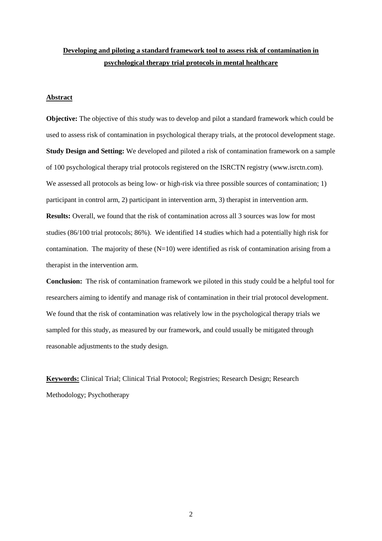# **Developing and piloting a standard framework tool to assess risk of contamination in psychological therapy trial protocols in mental healthcare**

### **Abstract**

**Objective:** The objective of this study was to develop and pilot a standard framework which could be used to assess risk of contamination in psychological therapy trials, at the protocol development stage. **Study Design and Setting:** We developed and piloted a risk of contamination framework on a sample of 100 psychological therapy trial protocols registered on the ISRCTN registry (www.isrctn.com). We assessed all protocols as being low- or high-risk via three possible sources of contamination; 1) participant in control arm, 2) participant in intervention arm, 3) therapist in intervention arm. **Results:** Overall, we found that the risk of contamination across all 3 sources was low for most studies (86/100 trial protocols; 86%). We identified 14 studies which had a potentially high risk for contamination. The majority of these  $(N=10)$  were identified as risk of contamination arising from a therapist in the intervention arm.

**Conclusion:** The risk of contamination framework we piloted in this study could be a helpful tool for researchers aiming to identify and manage risk of contamination in their trial protocol development. We found that the risk of contamination was relatively low in the psychological therapy trials we sampled for this study, as measured by our framework, and could usually be mitigated through reasonable adjustments to the study design.

**Keywords:** Clinical Trial; Clinical Trial Protocol; Registries; Research Design; Research Methodology; Psychotherapy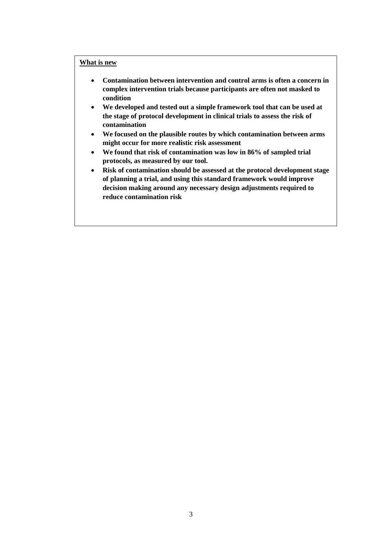## **What is new**

- **Contamination between intervention and control arms is often a concern in complex intervention trials because participants are often not masked to condition**
- **We developed and tested out a simple framework tool that can be used at the stage of protocol development in clinical trials to assess the risk of contamination**
- **We focused on the plausible routes by which contamination between arms might occur for more realistic risk assessment**
- **We found that risk of contamination was low in 86% of sampled trial protocols, as measured by our tool.**
- **Risk of contamination should be assessed at the protocol development stage of planning a trial, and using this standard framework would improve decision making around any necessary design adjustments required to reduce contamination risk**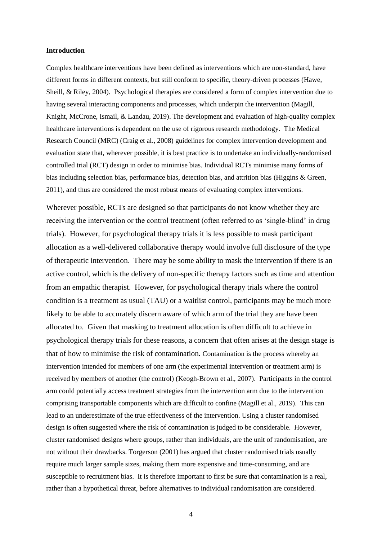#### **Introduction**

Complex healthcare interventions have been defined as interventions which are non-standard, have different forms in different contexts, but still conform to specific, theory-driven processes (Hawe, Sheill, & Riley, 2004). Psychological therapies are considered a form of complex intervention due to having several interacting components and processes, which underpin the intervention (Magill, Knight, McCrone, Ismail, & Landau, 2019). The development and evaluation of high-quality complex healthcare interventions is dependent on the use of rigorous research methodology. The Medical Research Council (MRC) (Craig et al., 2008) guidelines for complex intervention development and evaluation state that, wherever possible, it is best practice is to undertake an individually-randomised controlled trial (RCT) design in order to minimise bias. Individual RCTs minimise many forms of bias including selection bias, performance bias, detection bias, and attrition bias (Higgins & Green, 2011), and thus are considered the most robust means of evaluating complex interventions.

Wherever possible, RCTs are designed so that participants do not know whether they are receiving the intervention or the control treatment (often referred to as 'single-blind' in drug trials). However, for psychological therapy trials it is less possible to mask participant allocation as a well-delivered collaborative therapy would involve full disclosure of the type of therapeutic intervention. There may be some ability to mask the intervention if there is an active control, which is the delivery of non-specific therapy factors such as time and attention from an empathic therapist. However, for psychological therapy trials where the control condition is a treatment as usual (TAU) or a waitlist control, participants may be much more likely to be able to accurately discern aware of which arm of the trial they are have been allocated to. Given that masking to treatment allocation is often difficult to achieve in psychological therapy trials for these reasons, a concern that often arises at the design stage is that of how to minimise the risk of contamination*.* Contamination is the process whereby an intervention intended for members of one arm (the experimental intervention or treatment arm) is received by members of another (the control) (Keogh-Brown et al., 2007).Participants in the control arm could potentially access treatment strategies from the intervention arm due to the intervention comprising transportable components which are difficult to confine (Magill et al., 2019). This can lead to an underestimate of the true effectiveness of the intervention. Using a cluster randomised design is often suggested where the risk of contamination is judged to be considerable. However, cluster randomised designs where groups, rather than individuals, are the unit of randomisation, are not without their drawbacks. Torgerson (2001) has argued that cluster randomised trials usually require much larger sample sizes, making them more expensive and time-consuming, and are susceptible to recruitment bias. It is therefore important to first be sure that contamination is a real, rather than a hypothetical threat, before alternatives to individual randomisation are considered.

4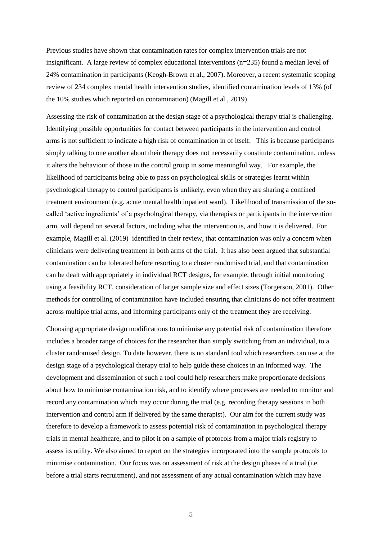Previous studies have shown that contamination rates for complex intervention trials are not insignificant. A large review of complex educational interventions  $(n=235)$  found a median level of 24% contamination in participants (Keogh-Brown et al., 2007). Moreover, a recent systematic scoping review of 234 complex mental health intervention studies, identified contamination levels of 13% (of the 10% studies which reported on contamination) (Magill et al., 2019).

Assessing the risk of contamination at the design stage of a psychological therapy trial is challenging. Identifying possible opportunities for contact between participants in the intervention and control arms is not sufficient to indicate a high risk of contamination in of itself. This is because participants simply talking to one another about their therapy does not necessarily constitute contamination, unless it alters the behaviour of those in the control group in some meaningful way. For example, the likelihood of participants being able to pass on psychological skills or strategies learnt within psychological therapy to control participants is unlikely, even when they are sharing a confined treatment environment (e.g. acute mental health inpatient ward). Likelihood of transmission of the socalled 'active ingredients' of a psychological therapy, via therapists or participants in the intervention arm, will depend on several factors, including what the intervention is, and how it is delivered. For example, Magill et al. (2019) identified in their review, that contamination was only a concern when clinicians were delivering treatment in both arms of the trial. It has also been argued that substantial contamination can be tolerated before resorting to a cluster randomised trial, and that contamination can be dealt with appropriately in individual RCT designs, for example, through initial monitoring using a feasibility RCT, consideration of larger sample size and effect sizes (Torgerson, 2001). Other methods for controlling of contamination have included ensuring that clinicians do not offer treatment across multiple trial arms, and informing participants only of the treatment they are receiving.

Choosing appropriate design modifications to minimise any potential risk of contamination therefore includes a broader range of choices for the researcher than simply switching from an individual, to a cluster randomised design. To date however, there is no standard tool which researchers can use at the design stage of a psychological therapy trial to help guide these choices in an informed way. The development and dissemination of such a tool could help researchers make proportionate decisions about how to minimise contamination risk, and to identify where processes are needed to monitor and record any contamination which may occur during the trial (e.g. recording therapy sessions in both intervention and control arm if delivered by the same therapist). Our aim for the current study was therefore to develop a framework to assess potential risk of contamination in psychological therapy trials in mental healthcare, and to pilot it on a sample of protocols from a major trials registry to assess its utility. We also aimed to report on the strategies incorporated into the sample protocols to minimise contamination. Our focus was on assessment of risk at the design phases of a trial (i.e. before a trial starts recruitment), and not assessment of any actual contamination which may have

5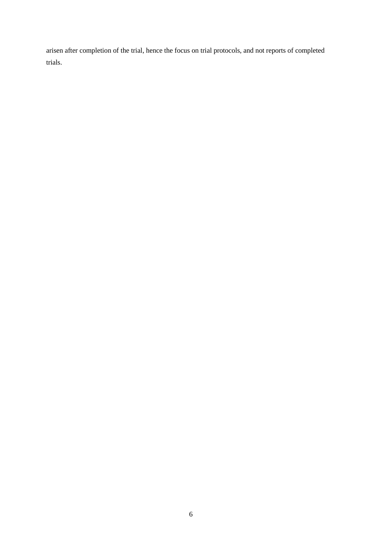arisen after completion of the trial, hence the focus on trial protocols, and not reports of completed trials.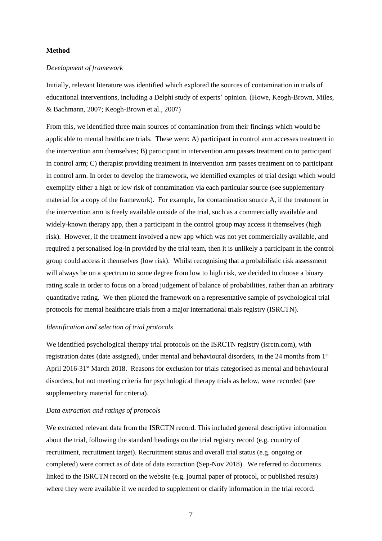#### **Method**

### *Development of framework*

Initially, relevant literature was identified which explored the sources of contamination in trials of educational interventions, including a Delphi study of experts' opinion. (Howe, Keogh-Brown, Miles, & Bachmann, 2007; Keogh-Brown et al., 2007)

From this, we identified three main sources of contamination from their findings which would be applicable to mental healthcare trials. These were: A) participant in control arm accesses treatment in the intervention arm themselves; B) participant in intervention arm passes treatment on to participant in control arm; C) therapist providing treatment in intervention arm passes treatment on to participant in control arm. In order to develop the framework, we identified examples of trial design which would exemplify either a high or low risk of contamination via each particular source (see supplementary material for a copy of the framework). For example, for contamination source A, if the treatment in the intervention arm is freely available outside of the trial, such as a commercially available and widely-known therapy app, then a participant in the control group may access it themselves (high risk). However, if the treatment involved a new app which was not yet commercially available, and required a personalised log-in provided by the trial team, then it is unlikely a participant in the control group could access it themselves (low risk). Whilst recognising that a probabilistic risk assessment will always be on a spectrum to some degree from low to high risk, we decided to choose a binary rating scale in order to focus on a broad judgement of balance of probabilities, rather than an arbitrary quantitative rating. We then piloted the framework on a representative sample of psychological trial protocols for mental healthcare trials from a major international trials registry (ISRCTN).

### *Identification and selection of trial protocols*

We identified psychological therapy trial protocols on the ISRCTN registry (isrctn.com), with registration dates (date assigned), under mental and behavioural disorders, in the 24 months from 1st April 2016-31<sup>st</sup> March 2018. Reasons for exclusion for trials categorised as mental and behavioural disorders, but not meeting criteria for psychological therapy trials as below, were recorded (see supplementary material for criteria).

## *Data extraction and ratings of protocols*

We extracted relevant data from the ISRCTN record. This included general descriptive information about the trial, following the standard headings on the trial registry record (e.g. country of recruitment, recruitment target). Recruitment status and overall trial status (e.g. ongoing or completed) were correct as of date of data extraction (Sep-Nov 2018). We referred to documents linked to the ISRCTN record on the website (e.g. journal paper of protocol, or published results) where they were available if we needed to supplement or clarify information in the trial record.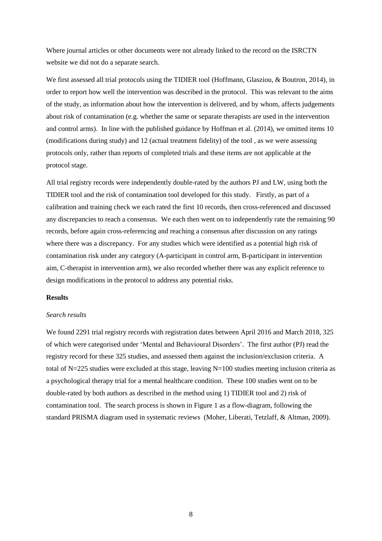Where journal articles or other documents were not already linked to the record on the ISRCTN website we did not do a separate search.

We first assessed all trial protocols using the TIDIER tool (Hoffmann, Glasziou, & Boutron, 2014), in order to report how well the intervention was described in the protocol. This was relevant to the aims of the study, as information about how the intervention is delivered, and by whom, affects judgements about risk of contamination (e.g. whether the same or separate therapists are used in the intervention and control arms). In line with the published guidance by Hoffman et al. (2014), we omitted items 10 (modifications during study) and 12 (actual treatment fidelity) of the tool , as we were assessing protocols only, rather than reports of completed trials and these items are not applicable at the protocol stage.

All trial registry records were independently double-rated by the authors PJ and LW, using both the TIDIER tool and the risk of contamination tool developed for this study. Firstly, as part of a calibration and training check we each rated the first 10 records, then cross-referenced and discussed any discrepancies to reach a consensus. We each then went on to independently rate the remaining 90 records, before again cross-referencing and reaching a consensus after discussion on any ratings where there was a discrepancy. For any studies which were identified as a potential high risk of contamination risk under any category (A-participant in control arm, B-participant in intervention aim, C-therapist in intervention arm), we also recorded whether there was any explicit reference to design modifications in the protocol to address any potential risks.

#### **Results**

### *Search results*

We found 2291 trial registry records with registration dates between April 2016 and March 2018, 325 of which were categorised under 'Mental and Behavioural Disorders'. The first author (PJ) read the registry record for these 325 studies, and assessed them against the inclusion/exclusion criteria. A total of N=225 studies were excluded at this stage, leaving N=100 studies meeting inclusion criteria as a psychological therapy trial for a mental healthcare condition. These 100 studies went on to be double-rated by both authors as described in the method using 1) TIDIER tool and 2) risk of contamination tool. The search process is shown in Figure 1 as a flow-diagram, following the standard PRISMA diagram used in systematic reviews (Moher, Liberati, Tetzlaff, & Altman, 2009).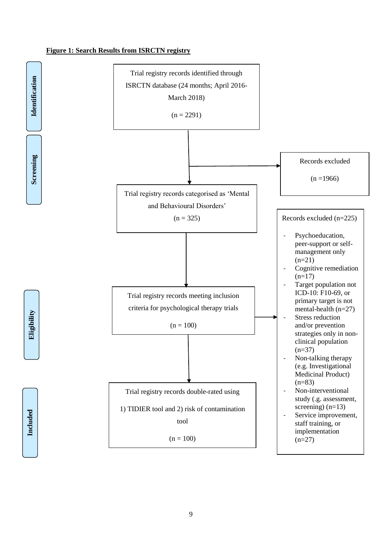## **Figure 1: Search Results from ISRCTN registry**

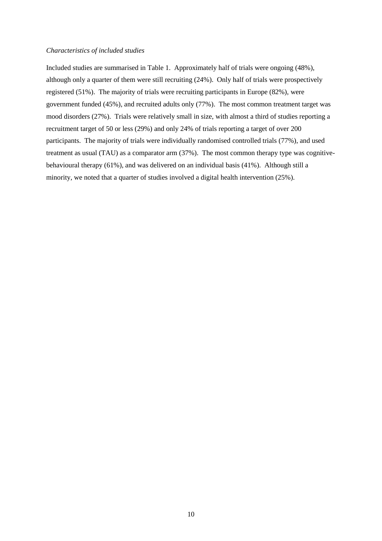### *Characteristics of included studies*

Included studies are summarised in Table 1. Approximately half of trials were ongoing (48%), although only a quarter of them were still recruiting (24%). Only half of trials were prospectively registered (51%). The majority of trials were recruiting participants in Europe (82%), were government funded (45%), and recruited adults only (77%). The most common treatment target was mood disorders (27%). Trials were relatively small in size, with almost a third of studies reporting a recruitment target of 50 or less (29%) and only 24% of trials reporting a target of over 200 participants. The majority of trials were individually randomised controlled trials (77%), and used treatment as usual (TAU) as a comparator arm (37%). The most common therapy type was cognitivebehavioural therapy (61%), and was delivered on an individual basis (41%). Although still a minority, we noted that a quarter of studies involved a digital health intervention (25%).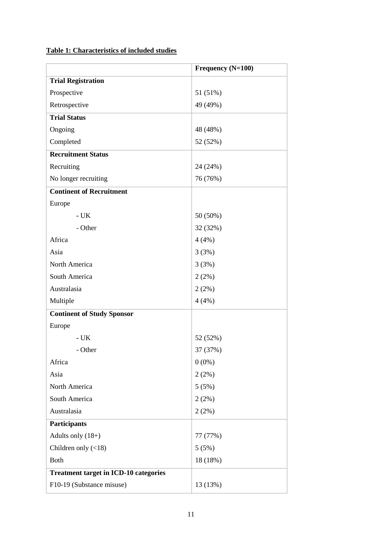# **Table 1: Characteristics of included studies**

|                                              | Frequency (N=100) |
|----------------------------------------------|-------------------|
| <b>Trial Registration</b>                    |                   |
| Prospective                                  | 51 (51%)          |
| Retrospective                                | 49 (49%)          |
| <b>Trial Status</b>                          |                   |
| Ongoing                                      | 48 (48%)          |
| Completed                                    | 52 (52%)          |
| <b>Recruitment Status</b>                    |                   |
| Recruiting                                   | 24 (24%)          |
| No longer recruiting                         | 76 (76%)          |
| <b>Continent of Recruitment</b>              |                   |
| Europe                                       |                   |
| $-UK$                                        | 50 (50%)          |
| - Other                                      | 32 (32%)          |
| Africa                                       | 4(4%)             |
| Asia                                         | 3(3%)             |
| North America                                | 3(3%)             |
| South America                                | 2(2%)             |
| Australasia                                  | 2(2%)             |
| Multiple                                     | 4(4%)             |
| <b>Continent of Study Sponsor</b>            |                   |
| Europe                                       |                   |
| $- UK$                                       | 52 (52%)          |
| - Other                                      | 37 (37%)          |
| Africa                                       | $0(0\%)$          |
| Asia                                         | 2(2%)             |
| North America                                | 5(5%)             |
| South America                                | 2(2%)             |
| Australasia                                  | 2(2%)             |
| <b>Participants</b>                          |                   |
| Adults only $(18+)$                          | 77 (77%)          |
| Children only $(\langle 18 \rangle)$         | 5(5%)             |
| <b>Both</b>                                  | 18 (18%)          |
| <b>Treatment target in ICD-10 categories</b> |                   |
| F10-19 (Substance misuse)                    | 13 (13%)          |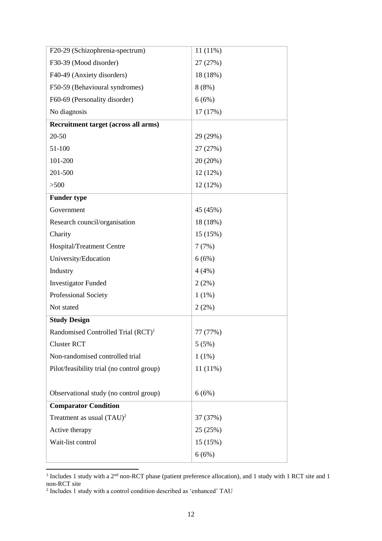| F20-29 (Schizophrenia-spectrum)                | $11(11\%)$ |
|------------------------------------------------|------------|
| F30-39 (Mood disorder)                         | 27 (27%)   |
| F40-49 (Anxiety disorders)                     | 18 (18%)   |
| F50-59 (Behavioural syndromes)                 | 8(8%)      |
| F60-69 (Personality disorder)                  | 6(6%)      |
| No diagnosis                                   | 17 (17%)   |
| Recruitment target (across all arms)           |            |
| 20-50                                          | 29 (29%)   |
| 51-100                                         | 27 (27%)   |
| 101-200                                        | 20 (20%)   |
| 201-500                                        | 12 (12%)   |
| >500                                           | 12(12%)    |
| <b>Funder type</b>                             |            |
| Government                                     | 45 (45%)   |
| Research council/organisation                  | 18 (18%)   |
| Charity                                        | 15 (15%)   |
| Hospital/Treatment Centre                      | 7(7%)      |
| University/Education                           | 6(6%)      |
| Industry                                       | 4(4%)      |
| <b>Investigator Funded</b>                     | 2(2%)      |
| Professional Society                           | $1(1\%)$   |
| Not stated                                     | 2(2%)      |
| <b>Study Design</b>                            |            |
| Randomised Controlled Trial (RCT) <sup>1</sup> | 77 (77%)   |
| <b>Cluster RCT</b>                             | 5(5%)      |
| Non-randomised controlled trial                | $1(1\%)$   |
| Pilot/feasibility trial (no control group)     | $11(11\%)$ |
|                                                |            |
| Observational study (no control group)         | 6(6%)      |
| <b>Comparator Condition</b>                    |            |
| Treatment as usual $(TAU)^2$                   | 37 (37%)   |
| Active therapy                                 | 25 (25%)   |
| Wait-list control                              | 15 (15%)   |
|                                                | 6(6%)      |

Includes 1 study with a 2<sup>nd</sup> non-RCT phase (patient preference allocation), and 1 study with 1 RCT site and 1 non-RCT site 2 Includes 1 study with a control condition described as 'enhanced' TAU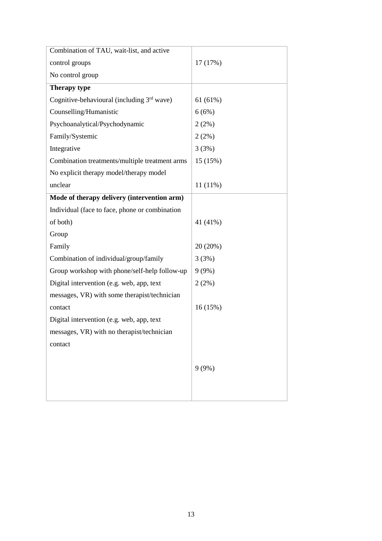| 17 (17%)   |
|------------|
|            |
|            |
| 61(61%)    |
| 6(6%)      |
| 2(2%)      |
| 2(2%)      |
| 3(3%)      |
| 15 (15%)   |
|            |
| $11(11\%)$ |
|            |
|            |
| 41 (41%)   |
|            |
| 20 (20%)   |
| 3(3%)      |
| 9(9%)      |
| 2(2%)      |
|            |
| 16(15%)    |
|            |
|            |
|            |
|            |
| 9(9%)      |
|            |
|            |
|            |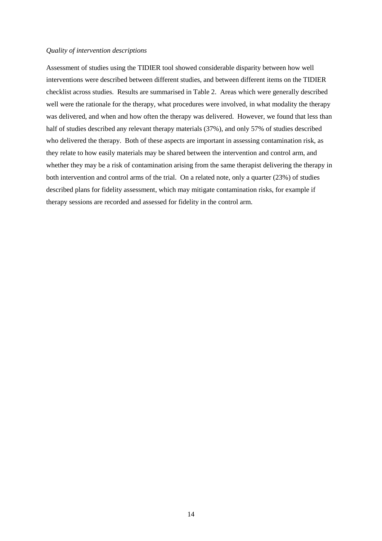### *Quality of intervention descriptions*

Assessment of studies using the TIDIER tool showed considerable disparity between how well interventions were described between different studies, and between different items on the TIDIER checklist across studies. Results are summarised in Table 2. Areas which were generally described well were the rationale for the therapy, what procedures were involved, in what modality the therapy was delivered, and when and how often the therapy was delivered. However, we found that less than half of studies described any relevant therapy materials (37%), and only 57% of studies described who delivered the therapy. Both of these aspects are important in assessing contamination risk, as they relate to how easily materials may be shared between the intervention and control arm, and whether they may be a risk of contamination arising from the same therapist delivering the therapy in both intervention and control arms of the trial. On a related note, only a quarter (23%) of studies described plans for fidelity assessment, which may mitigate contamination risks, for example if therapy sessions are recorded and assessed for fidelity in the control arm.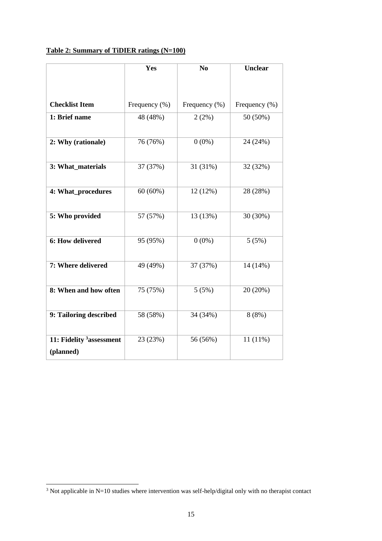# **Table 2: Summary of TiDIER ratings (N=100)**

|                                                   | Yes           | N <sub>0</sub> | <b>Unclear</b> |
|---------------------------------------------------|---------------|----------------|----------------|
|                                                   |               |                |                |
|                                                   |               |                |                |
| <b>Checklist Item</b>                             | Frequency (%) | Frequency (%)  | Frequency (%)  |
| 1: Brief name                                     | 48 (48%)      | 2(2%)          | 50 (50%)       |
| 2: Why (rationale)                                | 76 (76%)      | $0(0\%)$       | 24 (24%)       |
| 3: What materials                                 | 37 (37%)      | 31 (31%)       | 32 (32%)       |
| 4: What_procedures                                | $60(60\%)$    | 12 (12%)       | 28 (28%)       |
| 5: Who provided                                   | 57 (57%)      | 13 (13%)       | 30 (30%)       |
| 6: How delivered                                  | 95 (95%)      | $0(0\%)$       | 5(5%)          |
| 7: Where delivered                                | 49 (49%)      | 37 (37%)       | 14 (14%)       |
| 8: When and how often                             | 75 (75%)      | 5(5%)          | 20 (20%)       |
| 9: Tailoring described                            | 58 (58%)      | 34 (34%)       | 8(8%)          |
| 11: Fidelity <sup>3</sup> assessment<br>(planned) | 23 (23%)      | 56 (56%)       | $11(11\%)$     |

-

 $3$  Not applicable in N=10 studies where intervention was self-help/digital only with no therapist contact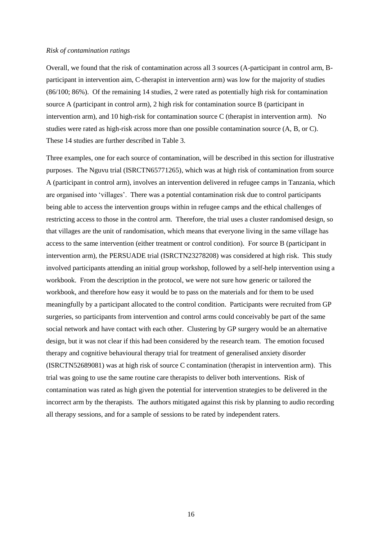#### *Risk of contamination ratings*

Overall, we found that the risk of contamination across all 3 sources (A-participant in control arm, Bparticipant in intervention aim, C-therapist in intervention arm) was low for the majority of studies (86/100; 86%). Of the remaining 14 studies, 2 were rated as potentially high risk for contamination source A (participant in control arm), 2 high risk for contamination source B (participant in intervention arm), and 10 high-risk for contamination source C (therapist in intervention arm). No studies were rated as high-risk across more than one possible contamination source (A, B, or C). These 14 studies are further described in Table 3.

Three examples, one for each source of contamination, will be described in this section for illustrative purposes. The Nguvu trial (ISRCTN65771265), which was at high risk of contamination from source A (participant in control arm), involves an intervention delivered in refugee camps in Tanzania, which are organised into 'villages'. There was a potential contamination risk due to control participants being able to access the intervention groups within in refugee camps and the ethical challenges of restricting access to those in the control arm. Therefore, the trial uses a cluster randomised design, so that villages are the unit of randomisation, which means that everyone living in the same village has access to the same intervention (either treatment or control condition). For source B (participant in intervention arm), the PERSUADE trial (ISRCTN23278208) was considered at high risk. This study involved participants attending an initial group workshop, followed by a self-help intervention using a workbook. From the description in the protocol, we were not sure how generic or tailored the workbook, and therefore how easy it would be to pass on the materials and for them to be used meaningfully by a participant allocated to the control condition. Participants were recruited from GP surgeries, so participants from intervention and control arms could conceivably be part of the same social network and have contact with each other. Clustering by GP surgery would be an alternative design, but it was not clear if this had been considered by the research team. The emotion focused therapy and cognitive behavioural therapy trial for treatment of generalised anxiety disorder (ISRCTN52689081) was at high risk of source C contamination (therapist in intervention arm). This trial was going to use the same routine care therapists to deliver both interventions. Risk of contamination was rated as high given the potential for intervention strategies to be delivered in the incorrect arm by the therapists. The authors mitigated against this risk by planning to audio recording all therapy sessions, and for a sample of sessions to be rated by independent raters.

16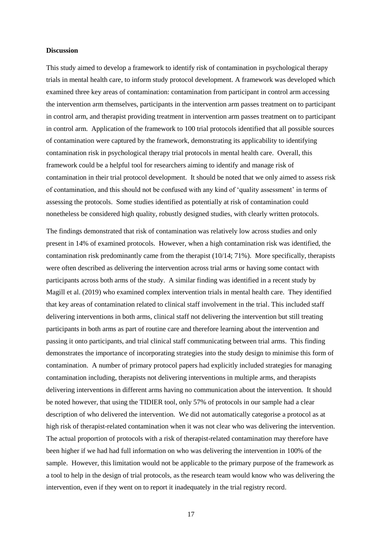#### **Discussion**

This study aimed to develop a framework to identify risk of contamination in psychological therapy trials in mental health care, to inform study protocol development. A framework was developed which examined three key areas of contamination: contamination from participant in control arm accessing the intervention arm themselves, participants in the intervention arm passes treatment on to participant in control arm, and therapist providing treatment in intervention arm passes treatment on to participant in control arm. Application of the framework to 100 trial protocols identified that all possible sources of contamination were captured by the framework, demonstrating its applicability to identifying contamination risk in psychological therapy trial protocols in mental health care. Overall, this framework could be a helpful tool for researchers aiming to identify and manage risk of contamination in their trial protocol development. It should be noted that we only aimed to assess risk of contamination, and this should not be confused with any kind of 'quality assessment' in terms of assessing the protocols. Some studies identified as potentially at risk of contamination could nonetheless be considered high quality, robustly designed studies, with clearly written protocols.

The findings demonstrated that risk of contamination was relatively low across studies and only present in 14% of examined protocols. However, when a high contamination risk was identified, the contamination risk predominantly came from the therapist (10/14; 71%). More specifically, therapists were often described as delivering the intervention across trial arms or having some contact with participants across both arms of the study. A similar finding was identified in a recent study by Magill et al. (2019) who examined complex intervention trials in mental health care. They identified that key areas of contamination related to clinical staff involvement in the trial. This included staff delivering interventions in both arms, clinical staff not delivering the intervention but still treating participants in both arms as part of routine care and therefore learning about the intervention and passing it onto participants, and trial clinical staff communicating between trial arms. This finding demonstrates the importance of incorporating strategies into the study design to minimise this form of contamination. A number of primary protocol papers had explicitly included strategies for managing contamination including, therapists not delivering interventions in multiple arms, and therapists delivering interventions in different arms having no communication about the intervention. It should be noted however, that using the TIDIER tool, only 57% of protocols in our sample had a clear description of who delivered the intervention. We did not automatically categorise a protocol as at high risk of therapist-related contamination when it was not clear who was delivering the intervention. The actual proportion of protocols with a risk of therapist-related contamination may therefore have been higher if we had had full information on who was delivering the intervention in 100% of the sample. However, this limitation would not be applicable to the primary purpose of the framework as a tool to help in the design of trial protocols, as the research team would know who was delivering the intervention, even if they went on to report it inadequately in the trial registry record.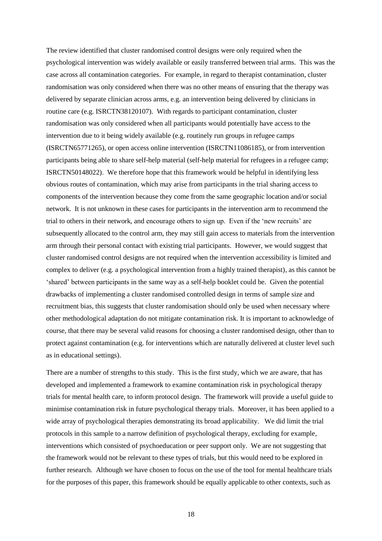The review identified that cluster randomised control designs were only required when the psychological intervention was widely available or easily transferred between trial arms. This was the case across all contamination categories. For example, in regard to therapist contamination, cluster randomisation was only considered when there was no other means of ensuring that the therapy was delivered by separate clinician across arms, e.g. an intervention being delivered by clinicians in routine care (e.g. ISRCTN38120107). With regards to participant contamination, cluster randomisation was only considered when all participants would potentially have access to the intervention due to it being widely available (e.g. routinely run groups in refugee camps (ISRCTN65771265), or open access online intervention (ISRCTN11086185), or from intervention participants being able to share self-help material (self-help material for refugees in a refugee camp; ISRCTN50148022). We therefore hope that this framework would be helpful in identifying less obvious routes of contamination, which may arise from participants in the trial sharing access to components of the intervention because they come from the same geographic location and/or social network. It is not unknown in these cases for participants in the intervention arm to recommend the trial to others in their network, and encourage others to sign up. Even if the 'new recruits' are subsequently allocated to the control arm, they may still gain access to materials from the intervention arm through their personal contact with existing trial participants. However, we would suggest that cluster randomised control designs are not required when the intervention accessibility is limited and complex to deliver (e.g. a psychological intervention from a highly trained therapist), as this cannot be 'shared' between participants in the same way as a self-help booklet could be. Given the potential drawbacks of implementing a cluster randomised controlled design in terms of sample size and recruitment bias, this suggests that cluster randomisation should only be used when necessary where other methodological adaptation do not mitigate contamination risk. It is important to acknowledge of course, that there may be several valid reasons for choosing a cluster randomised design, other than to protect against contamination (e.g. for interventions which are naturally delivered at cluster level such as in educational settings).

There are a number of strengths to this study. This is the first study, which we are aware, that has developed and implemented a framework to examine contamination risk in psychological therapy trials for mental health care, to inform protocol design. The framework will provide a useful guide to minimise contamination risk in future psychological therapy trials. Moreover, it has been applied to a wide array of psychological therapies demonstrating its broad applicability. We did limit the trial protocols in this sample to a narrow definition of psychological therapy, excluding for example, interventions which consisted of psychoeducation or peer support only. We are not suggesting that the framework would not be relevant to these types of trials, but this would need to be explored in further research. Although we have chosen to focus on the use of the tool for mental healthcare trials for the purposes of this paper, this framework should be equally applicable to other contexts, such as

18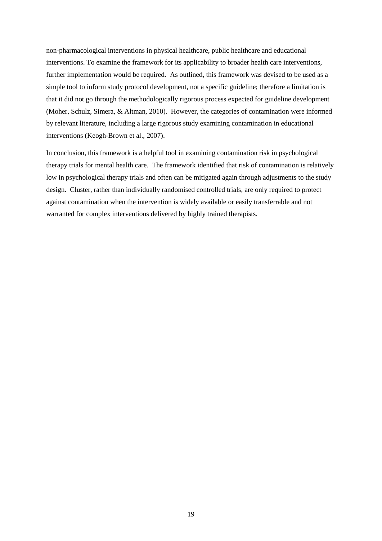non-pharmacological interventions in physical healthcare, public healthcare and educational interventions. To examine the framework for its applicability to broader health care interventions, further implementation would be required. As outlined, this framework was devised to be used as a simple tool to inform study protocol development, not a specific guideline; therefore a limitation is that it did not go through the methodologically rigorous process expected for guideline development (Moher, Schulz, Simera, & Altman, 2010). However, the categories of contamination were informed by relevant literature, including a large rigorous study examining contamination in educational interventions (Keogh-Brown et al., 2007).

In conclusion, this framework is a helpful tool in examining contamination risk in psychological therapy trials for mental health care. The framework identified that risk of contamination is relatively low in psychological therapy trials and often can be mitigated again through adjustments to the study design. Cluster, rather than individually randomised controlled trials, are only required to protect against contamination when the intervention is widely available or easily transferrable and not warranted for complex interventions delivered by highly trained therapists.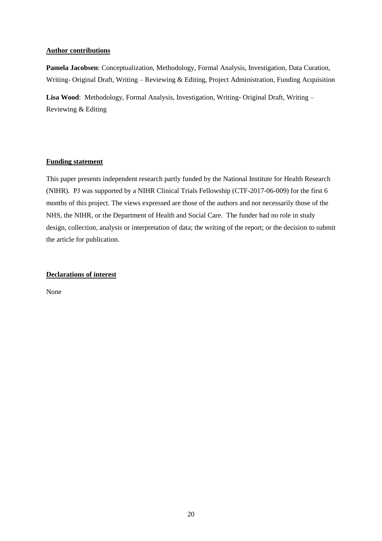### **Author contributions**

**Pamela Jacobsen**: Conceptualization, Methodology, Formal Analysis, Investigation, Data Curation, Writing- Original Draft, Writing – Reviewing & Editing, Project Administration, Funding Acquisition

**Lisa Wood**: Methodology, Formal Analysis, Investigation, Writing- Original Draft, Writing – Reviewing & Editing

# **Funding statement**

This paper presents independent research partly funded by the National Institute for Health Research (NIHR). PJ was supported by a NIHR Clinical Trials Fellowship (CTF-2017-06-009) for the first 6 months of this project. The views expressed are those of the authors and not necessarily those of the NHS, the NIHR, or the Department of Health and Social Care. The funder had no role in study design, collection, analysis or interpretation of data; the writing of the report; or the decision to submit the article for publication.

# **Declarations of interest**

None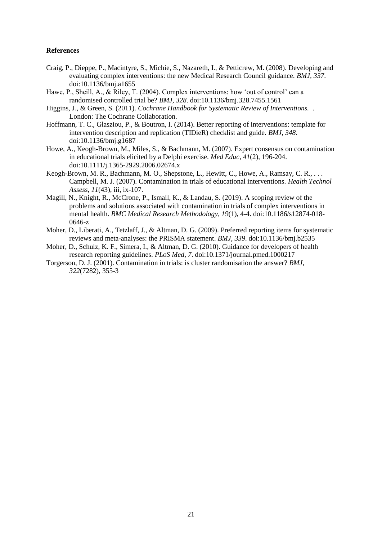### **References**

- Craig, P., Dieppe, P., Macintyre, S., Michie, S., Nazareth, I., & Petticrew, M. (2008). Developing and evaluating complex interventions: the new Medical Research Council guidance. *BMJ, 337*. doi:10.1136/bmj.a1655
- Hawe, P., Sheill, A., & Riley, T. (2004). Complex interventions: how 'out of control' can a randomised controlled trial be? *BMJ, 328*. doi:10.1136/bmj.328.7455.1561
- Higgins, J., & Green, S. (2011). *Cochrane Handbook for Systematic Review of Interventions.* . London: The Cochrane Collaboration.
- Hoffmann, T. C., Glasziou, P., & Boutron, I. (2014). Better reporting of interventions: template for intervention description and replication (TIDieR) checklist and guide. *BMJ, 348*. doi:10.1136/bmj.g1687
- Howe, A., Keogh-Brown, M., Miles, S., & Bachmann, M. (2007). Expert consensus on contamination in educational trials elicited by a Delphi exercise. *Med Educ, 41*(2), 196-204. doi:10.1111/j.1365-2929.2006.02674.x
- Keogh-Brown, M. R., Bachmann, M. O., Shepstone, L., Hewitt, C., Howe, A., Ramsay, C. R., . . . Campbell, M. J. (2007). Contamination in trials of educational interventions. *Health Technol Assess, 11*(43), iii, ix-107.
- Magill, N., Knight, R., McCrone, P., Ismail, K., & Landau, S. (2019). A scoping review of the problems and solutions associated with contamination in trials of complex interventions in mental health. *BMC Medical Research Methodology, 19*(1), 4-4. doi:10.1186/s12874-018- 0646-z
- Moher, D., Liberati, A., Tetzlaff, J., & Altman, D. G. (2009). Preferred reporting items for systematic reviews and meta-analyses: the PRISMA statement. *BMJ, 339*. doi:10.1136/bmj.b2535
- Moher, D., Schulz, K. F., Simera, I., & Altman, D. G. (2010). Guidance for developers of health research reporting guidelines. *PLoS Med, 7*. doi:10.1371/journal.pmed.1000217
- Torgerson, D. J. (2001). Contamination in trials: is cluster randomisation the answer? *BMJ, 322*(7282), 355-3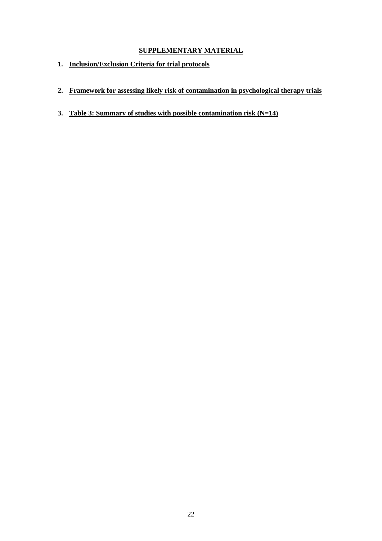# **SUPPLEMENTARY MATERIAL**

- **1. Inclusion/Exclusion Criteria for trial protocols**
- **2. Framework for assessing likely risk of contamination in psychological therapy trials**
- **3. Table 3: Summary of studies with possible contamination risk (N=14)**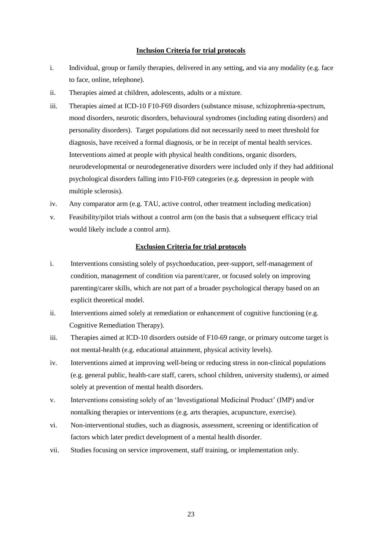### **Inclusion Criteria for trial protocols**

- i. Individual, group or family therapies, delivered in any setting, and via any modality (e.g. face to face, online, telephone).
- ii. Therapies aimed at children, adolescents, adults or a mixture.
- iii. Therapies aimed at ICD-10 F10-F69 disorders (substance misuse, schizophrenia-spectrum, mood disorders, neurotic disorders, behavioural syndromes (including eating disorders) and personality disorders). Target populations did not necessarily need to meet threshold for diagnosis, have received a formal diagnosis, or be in receipt of mental health services. Interventions aimed at people with physical health conditions, organic disorders, neurodevelopmental or neurodegenerative disorders were included only if they had additional psychological disorders falling into F10-F69 categories (e.g. depression in people with multiple sclerosis).
- iv. Any comparator arm (e.g. TAU, active control, other treatment including medication)
- v. Feasibility/pilot trials without a control arm (on the basis that a subsequent efficacy trial would likely include a control arm).

### **Exclusion Criteria for trial protocols**

- i. Interventions consisting solely of psychoeducation, peer-support, self-management of condition, management of condition via parent/carer, or focused solely on improving parenting/carer skills, which are not part of a broader psychological therapy based on an explicit theoretical model.
- ii. Interventions aimed solely at remediation or enhancement of cognitive functioning (e.g. Cognitive Remediation Therapy).
- iii. Therapies aimed at ICD-10 disorders outside of F10-69 range, or primary outcome target is not mental-health (e.g. educational attainment, physical activity levels).
- iv. Interventions aimed at improving well-being or reducing stress in non-clinical populations (e.g. general public, health-care staff, carers, school children, university students), or aimed solely at prevention of mental health disorders.
- v. Interventions consisting solely of an 'Investigational Medicinal Product' (IMP) and/or nontalking therapies or interventions (e.g. arts therapies, acupuncture, exercise).
- vi. Non-interventional studies, such as diagnosis, assessment, screening or identification of factors which later predict development of a mental health disorder.
- vii. Studies focusing on service improvement, staff training, or implementation only.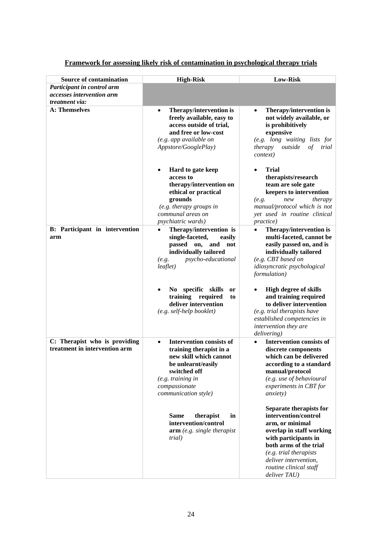| <b>Source of contamination</b>                                 | <b>High-Risk</b>                                                                                                                                                                                                       | <b>Low-Risk</b>                                                                                                                                                                                                                               |
|----------------------------------------------------------------|------------------------------------------------------------------------------------------------------------------------------------------------------------------------------------------------------------------------|-----------------------------------------------------------------------------------------------------------------------------------------------------------------------------------------------------------------------------------------------|
| Participant in control arm                                     |                                                                                                                                                                                                                        |                                                                                                                                                                                                                                               |
| accesses intervention arm                                      |                                                                                                                                                                                                                        |                                                                                                                                                                                                                                               |
| treatment via:                                                 |                                                                                                                                                                                                                        |                                                                                                                                                                                                                                               |
| <b>A: Themselves</b>                                           | Therapy/intervention is<br>$\bullet$<br>freely available, easy to<br>access outside of trial,<br>and free or low-cost<br>(e.g. app available on<br>Appstore/GooglePlay)<br>Hard to gate keep<br>$\bullet$<br>access to | Therapy/intervention is<br>not widely available, or<br>is prohibitively<br>expensive<br>(e.g. long waiting lists for<br>outside<br>of<br>therapy<br>trial<br><i>context</i> )<br><b>Trial</b><br>therapists/research                          |
|                                                                | therapy/intervention on<br>ethical or practical                                                                                                                                                                        | team are sole gate<br>keepers to intervention                                                                                                                                                                                                 |
|                                                                | grounds<br>(e.g. therapy groups in                                                                                                                                                                                     | therapy<br>new<br>(e.g.<br>manual/protocol which is not                                                                                                                                                                                       |
|                                                                | communal areas on                                                                                                                                                                                                      | yet used in routine clinical                                                                                                                                                                                                                  |
|                                                                | <i>psychiatric wards</i> )                                                                                                                                                                                             | practice)                                                                                                                                                                                                                                     |
| B: Participant in intervention<br>arm                          | Therapy/intervention is<br>single-faceted,<br>easily<br>passed on,<br>and not<br>individually tailored<br>psycho-educational<br>(e.g.<br>$le$ aflet)<br>No specific skills<br>or                                       | Therapy/intervention is<br>multi-faceted, cannot be<br>easily passed on, and is<br>individually tailored<br>(e.g. CBT based on<br>idiosyncratic psychological<br>formulation)<br><b>High degree of skills</b>                                 |
|                                                                | training<br>required<br>to<br>deliver intervention<br>$(e.g. self-help \text{ booklet})$                                                                                                                               | and training required<br>to deliver intervention<br>(e.g. trial therapists have<br>established competencies in<br>intervention they are<br>delivering)                                                                                        |
| C: Therapist who is providing<br>treatment in intervention arm | <b>Intervention consists of</b><br>$\bullet$<br>training therapist in a<br>new skill which cannot<br>be unlearnt/easily<br>switched off<br>(e.g. training in<br>compassionate<br>communication style)                  | <b>Intervention consists of</b><br>discrete components<br>which can be delivered<br>according to a standard<br>manual/protocol<br>(e.g. use of behavioural<br>experiments in CBT for<br><i>anxiety</i> )                                      |
|                                                                | <b>Same</b><br>therapist<br>in<br>intervention/control<br>arm (e.g. single the rapidity)<br>trial)                                                                                                                     | Separate therapists for<br>intervention/control<br>arm, or minimal<br>overlap in staff working<br>with participants in<br>both arms of the trial<br>(e.g. trial therapists<br>deliver intervention,<br>routine clinical staff<br>deliver TAU) |

# **Framework for assessing likely risk of contamination in psychological therapy trials**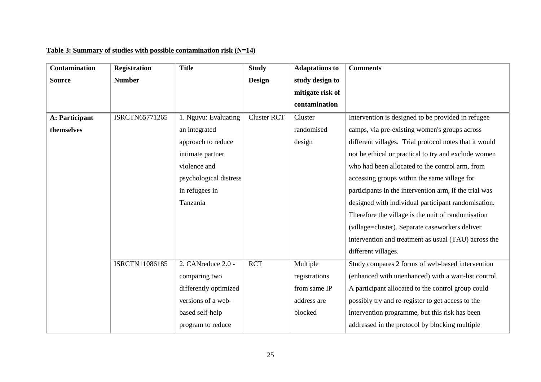# **Table 3: Summary of studies with possible contamination risk (N=14)**

| <b>Contamination</b> | <b>Registration</b> | <b>Title</b>           | <b>Study</b>       | <b>Adaptations to</b> | <b>Comments</b>                                        |
|----------------------|---------------------|------------------------|--------------------|-----------------------|--------------------------------------------------------|
| <b>Source</b>        | <b>Number</b>       |                        | <b>Design</b>      | study design to       |                                                        |
|                      |                     |                        |                    | mitigate risk of      |                                                        |
|                      |                     |                        |                    | contamination         |                                                        |
| A: Participant       | ISRCTN65771265      | 1. Nguvu: Evaluating   | <b>Cluster RCT</b> | Cluster               | Intervention is designed to be provided in refugee     |
| themselves           |                     | an integrated          |                    | randomised            | camps, via pre-existing women's groups across          |
|                      |                     | approach to reduce     |                    | design                | different villages. Trial protocol notes that it would |
|                      |                     | intimate partner       |                    |                       | not be ethical or practical to try and exclude women   |
|                      |                     | violence and           |                    |                       | who had been allocated to the control arm, from        |
|                      |                     | psychological distress |                    |                       | accessing groups within the same village for           |
|                      |                     | in refugees in         |                    |                       | participants in the intervention arm, if the trial was |
|                      |                     | Tanzania               |                    |                       | designed with individual participant randomisation.    |
|                      |                     |                        |                    |                       | Therefore the village is the unit of randomisation     |
|                      |                     |                        |                    |                       | (village=cluster). Separate caseworkers deliver        |
|                      |                     |                        |                    |                       | intervention and treatment as usual (TAU) across the   |
|                      |                     |                        |                    |                       | different villages.                                    |
|                      | ISRCTN11086185      | 2. CANreduce $2.0 -$   | <b>RCT</b>         | Multiple              | Study compares 2 forms of web-based intervention       |
|                      |                     | comparing two          |                    | registrations         | (enhanced with unenhanced) with a wait-list control.   |
|                      |                     | differently optimized  |                    | from same IP          | A participant allocated to the control group could     |
|                      |                     | versions of a web-     |                    | address are           | possibly try and re-register to get access to the      |
|                      |                     | based self-help        |                    | blocked               | intervention programme, but this risk has been         |
|                      |                     | program to reduce      |                    |                       | addressed in the protocol by blocking multiple         |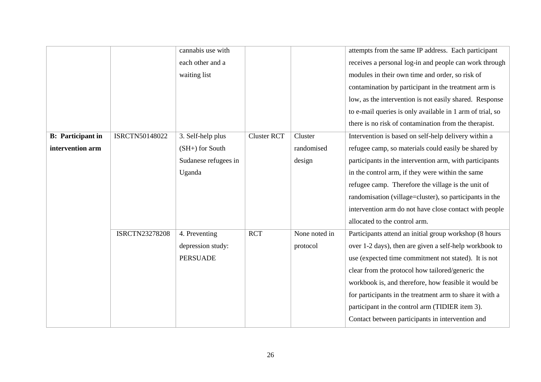|                          |                       | cannabis use with    |                    |               | attempts from the same IP address. Each participant       |
|--------------------------|-----------------------|----------------------|--------------------|---------------|-----------------------------------------------------------|
|                          |                       | each other and a     |                    |               | receives a personal log-in and people can work through    |
|                          |                       | waiting list         |                    |               | modules in their own time and order, so risk of           |
|                          |                       |                      |                    |               | contamination by participant in the treatment arm is      |
|                          |                       |                      |                    |               | low, as the intervention is not easily shared. Response   |
|                          |                       |                      |                    |               | to e-mail queries is only available in 1 arm of trial, so |
|                          |                       |                      |                    |               | there is no risk of contamination from the therapist.     |
| <b>B:</b> Participant in | ISRCTN50148022        | 3. Self-help plus    | <b>Cluster RCT</b> | Cluster       | Intervention is based on self-help delivery within a      |
| intervention arm         |                       | $(SH+)$ for South    |                    | randomised    | refugee camp, so materials could easily be shared by      |
|                          |                       | Sudanese refugees in |                    | design        | participants in the intervention arm, with participants   |
|                          |                       | Uganda               |                    |               | in the control arm, if they were within the same          |
|                          |                       |                      |                    |               | refugee camp. Therefore the village is the unit of        |
|                          |                       |                      |                    |               | randomisation (village=cluster), so participants in the   |
|                          |                       |                      |                    |               | intervention arm do not have close contact with people    |
|                          |                       |                      |                    |               | allocated to the control arm.                             |
|                          | <b>ISRCTN23278208</b> | 4. Preventing        | $\overline{RCT}$   | None noted in | Participants attend an initial group workshop (8 hours    |
|                          |                       | depression study:    |                    | protocol      | over 1-2 days), then are given a self-help workbook to    |
|                          |                       | <b>PERSUADE</b>      |                    |               | use (expected time commitment not stated). It is not      |
|                          |                       |                      |                    |               | clear from the protocol how tailored/generic the          |
|                          |                       |                      |                    |               | workbook is, and therefore, how feasible it would be      |
|                          |                       |                      |                    |               | for participants in the treatment arm to share it with a  |
|                          |                       |                      |                    |               | participant in the control arm (TIDIER item 3).           |
|                          |                       |                      |                    |               | Contact between participants in intervention and          |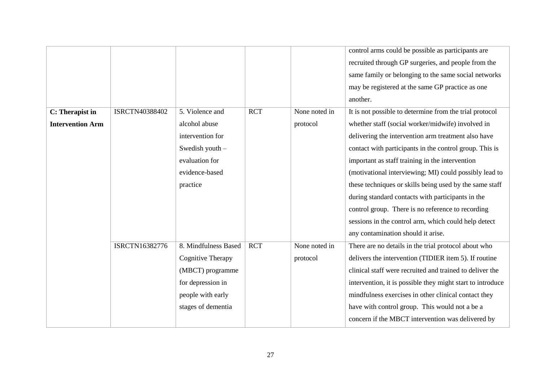|                         |                |                          |            |               | control arms could be possible as participants are         |
|-------------------------|----------------|--------------------------|------------|---------------|------------------------------------------------------------|
|                         |                |                          |            |               | recruited through GP surgeries, and people from the        |
|                         |                |                          |            |               | same family or belonging to the same social networks       |
|                         |                |                          |            |               | may be registered at the same GP practice as one           |
|                         |                |                          |            |               | another.                                                   |
| C: Therapist in         | ISRCTN40388402 | 5. Violence and          | <b>RCT</b> | None noted in | It is not possible to determine from the trial protocol    |
| <b>Intervention Arm</b> |                | alcohol abuse            |            | protocol      | whether staff (social worker/midwife) involved in          |
|                         |                | intervention for         |            |               | delivering the intervention arm treatment also have        |
|                         |                | Swedish youth -          |            |               | contact with participants in the control group. This is    |
|                         |                | evaluation for           |            |               | important as staff training in the intervention            |
|                         |                | evidence-based           |            |               | (motivational interviewing; MI) could possibly lead to     |
|                         |                | practice                 |            |               | these techniques or skills being used by the same staff    |
|                         |                |                          |            |               | during standard contacts with participants in the          |
|                         |                |                          |            |               | control group. There is no reference to recording          |
|                         |                |                          |            |               | sessions in the control arm, which could help detect       |
|                         |                |                          |            |               | any contamination should it arise.                         |
|                         | ISRCTN16382776 | 8. Mindfulness Based     | <b>RCT</b> | None noted in | There are no details in the trial protocol about who       |
|                         |                | <b>Cognitive Therapy</b> |            | protocol      | delivers the intervention (TIDIER item 5). If routine      |
|                         |                | (MBCT) programme         |            |               | clinical staff were recruited and trained to deliver the   |
|                         |                | for depression in        |            |               | intervention, it is possible they might start to introduce |
|                         |                | people with early        |            |               | mindfulness exercises in other clinical contact they       |
|                         |                | stages of dementia       |            |               | have with control group. This would not a be a             |
|                         |                |                          |            |               | concern if the MBCT intervention was delivered by          |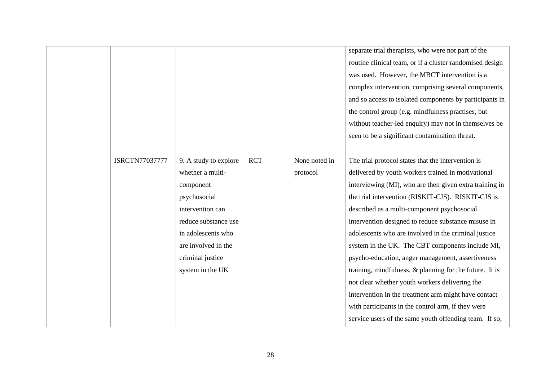|                       |                       |            |               | separate trial therapists, who were not part of the        |
|-----------------------|-----------------------|------------|---------------|------------------------------------------------------------|
|                       |                       |            |               | routine clinical team, or if a cluster randomised design   |
|                       |                       |            |               | was used. However, the MBCT intervention is a              |
|                       |                       |            |               | complex intervention, comprising several components,       |
|                       |                       |            |               | and so access to isolated components by participants in    |
|                       |                       |            |               | the control group (e.g. mindfulness practises, but         |
|                       |                       |            |               | without teacher-led enquiry) may not in themselves be      |
|                       |                       |            |               | seen to be a significant contamination threat.             |
|                       |                       |            |               |                                                            |
| <b>ISRCTN77037777</b> | 9. A study to explore | <b>RCT</b> | None noted in | The trial protocol states that the intervention is         |
|                       | whether a multi-      |            | protocol      | delivered by youth workers trained in motivational         |
|                       | component             |            |               | interviewing (MI), who are then given extra training in    |
|                       | psychosocial          |            |               | the trial intervention (RISKIT-CJS). RISKIT-CJS is         |
|                       | intervention can      |            |               | described as a multi-component psychosocial                |
|                       | reduce substance use  |            |               | intervention designed to reduce substance misuse in        |
|                       | in adolescents who    |            |               | adolescents who are involved in the criminal justice       |
|                       | are involved in the   |            |               | system in the UK. The CBT components include MI,           |
|                       | criminal justice      |            |               | psycho-education, anger management, assertiveness          |
|                       | system in the UK      |            |               | training, mindfulness, $\&$ planning for the future. It is |
|                       |                       |            |               | not clear whether youth workers delivering the             |
|                       |                       |            |               | intervention in the treatment arm might have contact       |
|                       |                       |            |               | with participants in the control arm, if they were         |
|                       |                       |            |               | service users of the same youth offending team. If so,     |
|                       |                       |            |               |                                                            |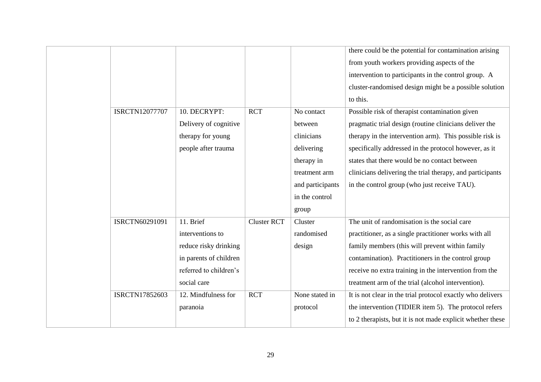|                |                        |                    |                  | there could be the potential for contamination arising     |
|----------------|------------------------|--------------------|------------------|------------------------------------------------------------|
|                |                        |                    |                  | from youth workers providing aspects of the                |
|                |                        |                    |                  | intervention to participants in the control group. A       |
|                |                        |                    |                  | cluster-randomised design might be a possible solution     |
|                |                        |                    |                  | to this.                                                   |
| ISRCTN12077707 | 10. DECRYPT:           | <b>RCT</b>         | No contact       | Possible risk of therapist contamination given             |
|                | Delivery of cognitive  |                    | between          | pragmatic trial design (routine clinicians deliver the     |
|                | therapy for young      |                    | clinicians       | therapy in the intervention arm). This possible risk is    |
|                | people after trauma    |                    | delivering       | specifically addressed in the protocol however, as it      |
|                |                        |                    | therapy in       | states that there would be no contact between              |
|                |                        |                    | treatment arm    | clinicians delivering the trial therapy, and participants  |
|                |                        |                    | and participants | in the control group (who just receive TAU).               |
|                |                        |                    | in the control   |                                                            |
|                |                        |                    | group            |                                                            |
| ISRCTN60291091 | 11. Brief              | <b>Cluster RCT</b> | Cluster          | The unit of randomisation is the social care               |
|                | interventions to       |                    | randomised       | practitioner, as a single practitioner works with all      |
|                | reduce risky drinking  |                    | design           | family members (this will prevent within family            |
|                | in parents of children |                    |                  | contamination). Practitioners in the control group         |
|                | referred to children's |                    |                  | receive no extra training in the intervention from the     |
|                | social care            |                    |                  | treatment arm of the trial (alcohol intervention).         |
| ISRCTN17852603 | 12. Mindfulness for    | <b>RCT</b>         | None stated in   | It is not clear in the trial protocol exactly who delivers |
|                | paranoia               |                    | protocol         | the intervention (TIDIER item 5). The protocol refers      |
|                |                        |                    |                  | to 2 therapists, but it is not made explicit whether these |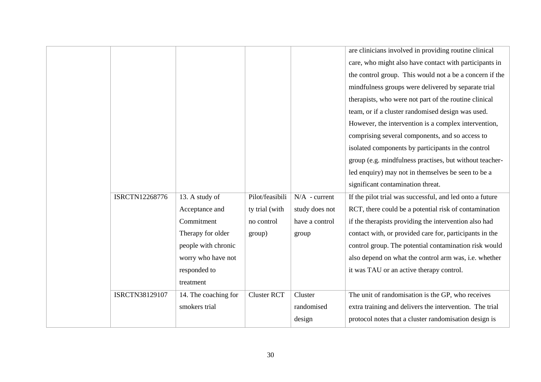|                       |                      |                    |                 | are clinicians involved in providing routine clinical    |
|-----------------------|----------------------|--------------------|-----------------|----------------------------------------------------------|
|                       |                      |                    |                 | care, who might also have contact with participants in   |
|                       |                      |                    |                 | the control group. This would not a be a concern if the  |
|                       |                      |                    |                 | mindfulness groups were delivered by separate trial      |
|                       |                      |                    |                 | therapists, who were not part of the routine clinical    |
|                       |                      |                    |                 | team, or if a cluster randomised design was used.        |
|                       |                      |                    |                 | However, the intervention is a complex intervention,     |
|                       |                      |                    |                 | comprising several components, and so access to          |
|                       |                      |                    |                 | isolated components by participants in the control       |
|                       |                      |                    |                 | group (e.g. mindfulness practises, but without teacher-  |
|                       |                      |                    |                 | led enquiry) may not in themselves be seen to be a       |
|                       |                      |                    |                 | significant contamination threat.                        |
| <b>ISRCTN12268776</b> | 13. A study of       | Pilot/feasibili    | $N/A$ - current | If the pilot trial was successful, and led onto a future |
|                       | Acceptance and       | ty trial (with     | study does not  | RCT, there could be a potential risk of contamination    |
|                       | Commitment           | no control         | have a control  | if the therapists providing the intervention also had    |
|                       | Therapy for older    | group)             | group           | contact with, or provided care for, participants in the  |
|                       | people with chronic  |                    |                 | control group. The potential contamination risk would    |
|                       | worry who have not   |                    |                 | also depend on what the control arm was, i.e. whether    |
|                       | responded to         |                    |                 | it was TAU or an active therapy control.                 |
|                       | treatment            |                    |                 |                                                          |
| ISRCTN38129107        | 14. The coaching for | <b>Cluster RCT</b> | Cluster         | The unit of randomisation is the GP, who receives        |
|                       | smokers trial        |                    | randomised      | extra training and delivers the intervention. The trial  |
|                       |                      |                    | design          | protocol notes that a cluster randomisation design is    |
|                       |                      |                    |                 |                                                          |